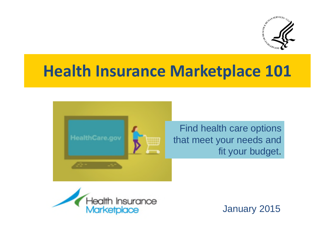

# **Health Insurance Marketplace 101**



Find health care options that meet your needs and fit your budget.



January 2015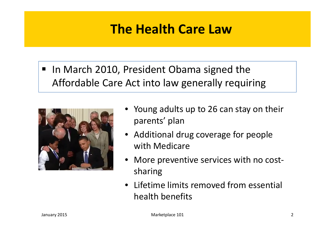### **The Health Care Law**

■ In March 2010, President Obama signed the Affordable Care Act into law generally requiring



- Young adults up to 26 can stay on their parents' plan
- Additional drug coverage for people with Medicare
- More preventive services with no costsharing
- Lifetime limits removed from essential health benefits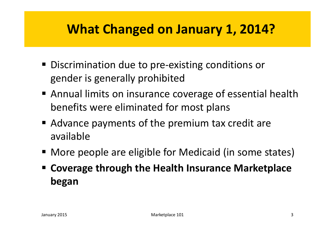## **What Changed on January 1, 2014?**

- Discrimination due to pre-existing conditions or gender is generally prohibited
- Annual limits on insurance coverage of essential health benefits were eliminated for most plans
- Advance payments of the premium tax credit are available
- More people are eligible for Medicaid (in some states)
- **Coverage through the Health Insurance Marketplace began**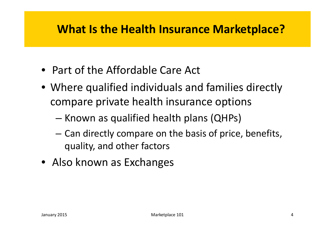### **What Is the Health Insurance Marketplace?**

- Part of the Affordable Care Act
- Where qualified individuals and families directly compare private health insurance options
	- Known as qualified health plans (QHPs)
	- Can directly compare on the basis of price, benefits, quality, and other factors
- Also known as Exchanges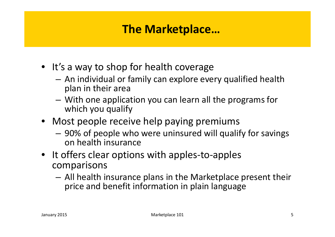### **The Marketplace…**

- It's a way to shop for health coverage
	- An individual or family can explore every qualified health plan in their area
	- With one application you can learn all the programs for which you qualify
- Most people receive help paying premiums
	- 90% of people who were uninsured will qualify for savings on health insurance
- It offers clear options with apples-to-apples comparisons
	- All health insurance plans in the Marketplace present their price and benefit information in plain language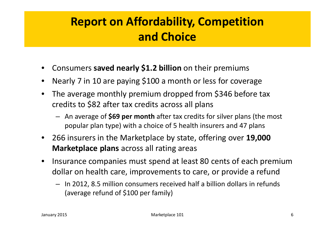### **Report on Affordability, Competition and Choice**

- Consumers **saved nearly \$1.2 billion** on their premiums
- Nearly 7 in 10 are paying \$100 a month or less for coverage
- The average monthly premium dropped from \$346 before tax credits to \$82 after tax credits across all plans
	- An average of **\$69 per month** after tax credits for silver plans (the most popular plan type) with a choice of 5 health insurers and 47 plans
- 266 insurers in the Marketplace by state, offering over **19,000 Marketplace plans** across all rating areas
- Insurance companies must spend at least 80 cents of each premium dollar on health care, improvements to care, or provide a refund
	- In 2012, 8.5 million consumers received half a billion dollars in refunds (average refund of \$100 per family)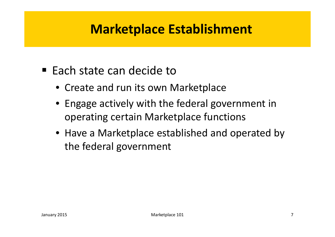### **Marketplace Establishment**

- $\blacksquare$  Each state can decide to
	- Create and run its own Marketplace
	- Engage actively with the federal government in operating certain Marketplace functions
	- Have a Marketplace established and operated by the federal government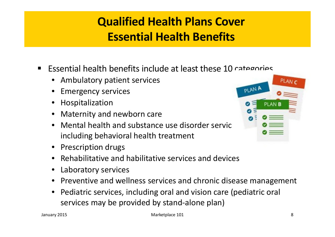### **Qualified Health Plans Cover Essential Health Benefits**

- **Example 10** cannot Essential health benefits include at least these 10 categories
	- Ambulatory patient services
	- Emergency services
	- **Hospitalization**
	- Maternity and newborn care
	- Mental health and substance use disorder service including behavioral health treatment
	- Prescription drugs
	- Rehabilitative and habilitative services and devices
	- Laboratory services
	- Preventive and wellness services and chronic disease management
	- Pediatric services, including oral and vision care (pediatric oral services may be provided by stand-alone plan)

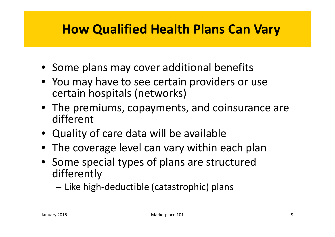## **How Qualified Health Plans Can Vary**

- Some plans may cover additional benefits
- You may have to see certain providers or use certain hospitals (networks)
- The premiums, copayments, and coinsurance are different
- Quality of care data will be available
- The coverage level can vary within each plan
- Some special types of plans are structured differently

– Like high-deductible (catastrophic) plans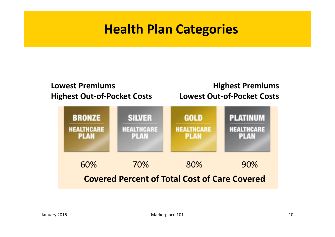### **Health Plan Categories**

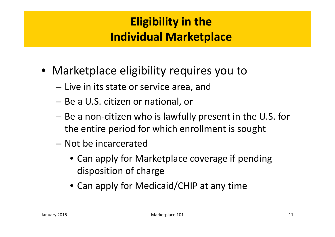### **Eligibility in the Individual Marketplace**

- Marketplace eligibility requires you to
	- Live in its state or service area, and
	- Be a U.S. citizen or national, or
	- Be a non-citizen who is lawfully present in the U.S. for the entire period for which enrollment is sought
	- Not be incarcerated
		- Can apply for Marketplace coverage if pending disposition of charge
		- Can apply for Medicaid/CHIP at any time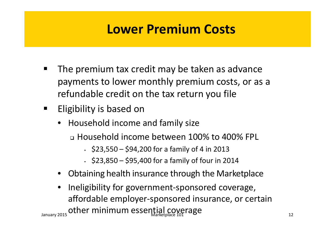### **Lower Premium Costs**

- **The premium tax credit may be taken as advance** payments to lower monthly premium costs, or as a refundable credit on the tax return you file
- **Eligibility is based on** 
	- Household income and family size
		- Household income between 100% to 400% FPL
			- $\cdot$  \$23,550 \$94,200 for a family of 4 in 2013
			- \$23,850 \$95,400 for a family of four in 2014
	- Obtaining health insurance through the Marketplace
- Ineligibility for government-sponsored coverage, affordable employer-sponsored insurance, or certain January 2015 Other minimum essential coverage and the minimum of the settlem and the settlem and the settlem and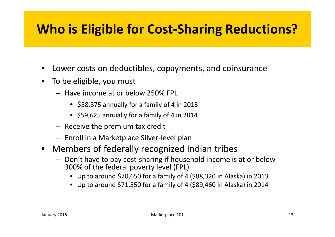## **Who is Eligible for Cost-Sharing Reductions?**

- Lower costs on deductibles, copayments, and coinsurance
- To be eligible, you must
	- Have income at or below 250% FPL
		- \$58,875 annually for a family of 4 in 2013
		- \$59,625 annually for a family of 4 in 2014
	- Receive the premium tax credit
	- Enroll in a Marketplace Silver-level plan
- Members of federally recognized Indian tribes
	- Don't have to pay cost-sharing if household income is at or below 300% of the federal poverty level (FPL)
		- Up to around \$70,650 for a family of 4 (\$88,320 in Alaska) in 2013
		- Up to around \$71,550 for a family of 4 (\$89,460 in Alaska) in 2014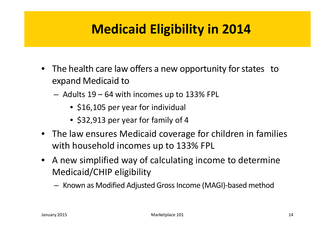## **Medicaid Eligibility in 2014**

- The health care law offers a new opportunity for states to expand Medicaid to
	- Adults 19 64 with incomes up to 133% FPL
		- \$16,105 per year for individual
		- \$32,913 per year for family of 4
- The law ensures Medicaid coverage for children in families with household incomes up to 133% FPL
- A new simplified way of calculating income to determine Medicaid/CHIP eligibility
	- Known as Modified Adjusted Gross Income (MAGI)-based method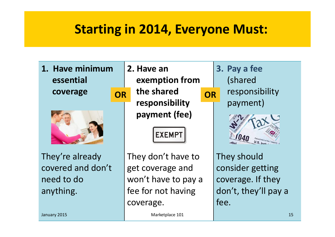### **Starting in 2014, Everyone Must:**

**1. Have minimum essential coverage**



They're already covered and don't need to do anything.

**2. Have an exemption from the shared responsibility payment (fee) OR** the snared **OR** 

**EXEMPT** 

They don't have to get coverage and won't have to pay a fee for not having coverage.

**3. Pay a fee** (shared responsibility payment)



They should consider getting coverage. If they don't, they'll pay a fee.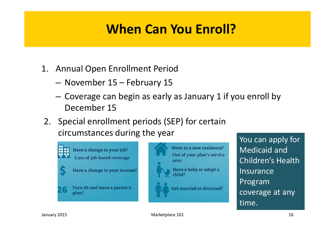## **When Can You Enroll?**

- 1. Annual Open Enrollment Period
	- November 15 February 15
	- Coverage can begin as early as January 1 if you enroll by December 15
- 2. Special enrollment periods (SEP) for certain circumstances during the year





Move to a new residence?

You can apply for Medicaid and Children's Health Insurance Program coverage at any time.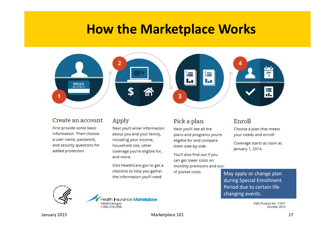### **How the Marketplace Works**



#### Create an account

First provide some basic information. Then choose a user name, password, and security questions for added protection.

#### Apply

Next you'll enter information about you and your family, including your income, household size, other coverage you're eligible for, and more.

Visit HealthCare.gov to get a checklist to help you gather the information you'll need.

#### Pick a plan

Next you'll see all the plans and programs you're eligible for and compare them side-by-side.

You'll also find out if you can get lower costs on monthly premiums and outof pocket costs.

#### Enroll

Choose a plan that meets your needs and enroll!

Coverage starts as soon as January 1, 2014.

May apply or change plan during Special Enrollment Period due to certain life changing events.

> CMS Product No. 11671 October 2013



lealth Insurance Marketplace HealthCare.gov 1-800-318-2596

January 2015 **Marketplace 101** Marketplace 101 **Marketplace 101** 17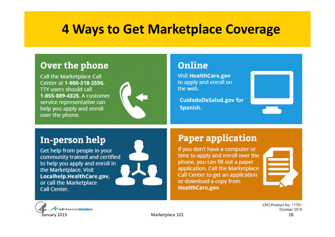### **4 Ways to Get Marketplace Coverage**

### Over the phone

**Call the Marketplace Call** Center at 1-800-318-2596. **TTY users should call** 1-855-889-4325. A customer service representative can help you apply and enroll over the phone.



### **Online**

**Visit HealthCare.gov** to apply and enroll on the web.

**CuidadoDeSalud.gov for Spanish.**



### In-person help

Get help from people in your community trained and certified to help you apply and enroll in the Marketplace. Visit Localhelp.HealthCare.gov, or call the Marketplace Call Center.



### **Paper application**

If you don't have a computer or time to apply and enroll over the phone, you can fill out a paper application. Call the Marketplace Call Center to get an application or download a copy from HealthCare.gov.





CMS Product No. 11751 October 2013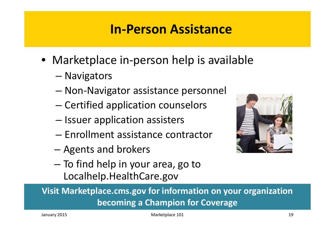### **In-Person Assistance**

- Marketplace in-person help is available
	- Navigators
	- Non-Navigator assistance personnel
	- Certified application counselors
	- Issuer application assisters
	- Enrollment assistance contractor
	- Agents and brokers
	- To find help in your area, go to Localhelp.HealthCare.gov



**Visit Marketplace.cms.gov for information on your organization becoming a Champion for Coverage**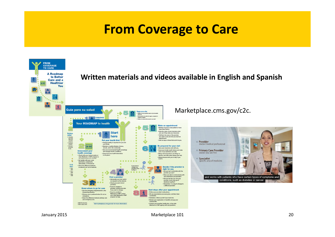### **From Coverage to Care**

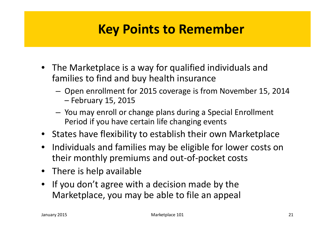### **Key Points to Remember**

- The Marketplace is a way for qualified individuals and families to find and buy health insurance
	- Open enrollment for 2015 coverage is from November 15, 2014 – February 15, 2015
	- You may enroll or change plans during a Special Enrollment Period if you have certain life changing events
- States have flexibility to establish their own Marketplace
- Individuals and families may be eligible for lower costs on their monthly premiums and out-of-pocket costs
- There is help available
- If you don't agree with a decision made by the Marketplace, you may be able to file an appeal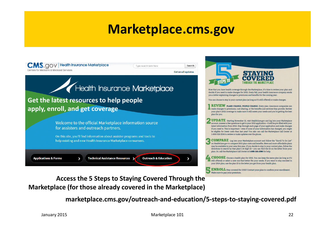### **Marketplace.cms.gov**



**Access the 5 Steps to Staying Covered Through the Marketplace (for those already covered in the Marketplace)**

**marketplace.cms.gov/outreach-and-education/5-steps-to-staying-covered.pdf**